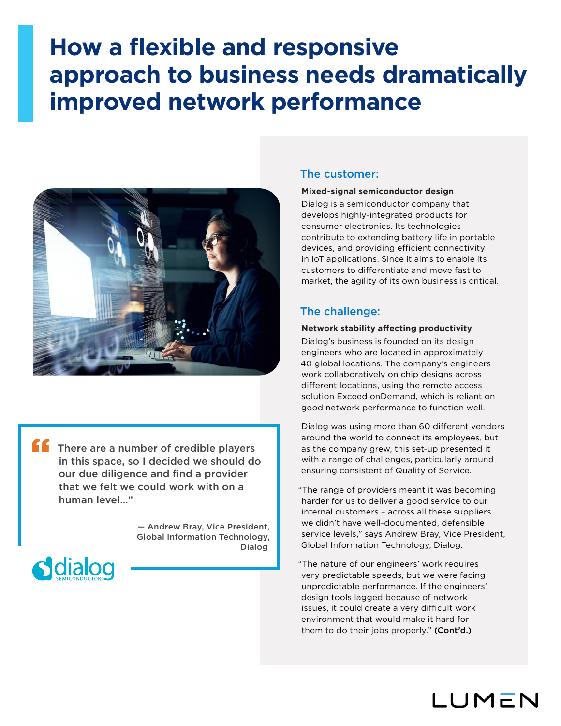# **How a flexible and responsive approach to business needs dramatically improved network performance**



There are a number of credible players in this space, so I decided we should do our due diligence and find a provider that we felt we could work with on a human level…" "

> — Andrew Bray, Vice President, Global Information Technology, Dialog



# The customer:

#### **Mixed-signal semiconductor design**

Dialog is a semiconductor company that develops highly-integrated products for consumer electronics. Its technologies contribute to extending battery life in portable devices, and providing efficient connectivity in IoT applications. Since it aims to enable its customers to differentiate and move fast to market, the agility of its own business is critical.

## The challenge:

## **Network stability affecting productivity**

Dialog's business is founded on its design engineers who are located in approximately 40 global locations. The company's engineers work collaboratively on chip designs across different locations, using the remote access solution Exceed onDemand, which is reliant on good network performance to function well.

Dialog was using more than 60 different vendors around the world to connect its employees, but as the company grew, this set-up presented it with a range of challenges, particularly around ensuring consistent of Quality of Service.

"The range of providers meant it was becoming harder for us to deliver a good service to our internal customers – across all these suppliers we didn't have well-documented, defensible service levels," says Andrew Bray, Vice President, Global Information Technology, Dialog.

"The nature of our engineers' work requires very predictable speeds, but we were facing unpredictable performance. If the engineers' design tools lagged because of network issues, it could create a very difficult work environment that would make it hard for them to do their jobs properly." (Cont'd.)

LUMEN